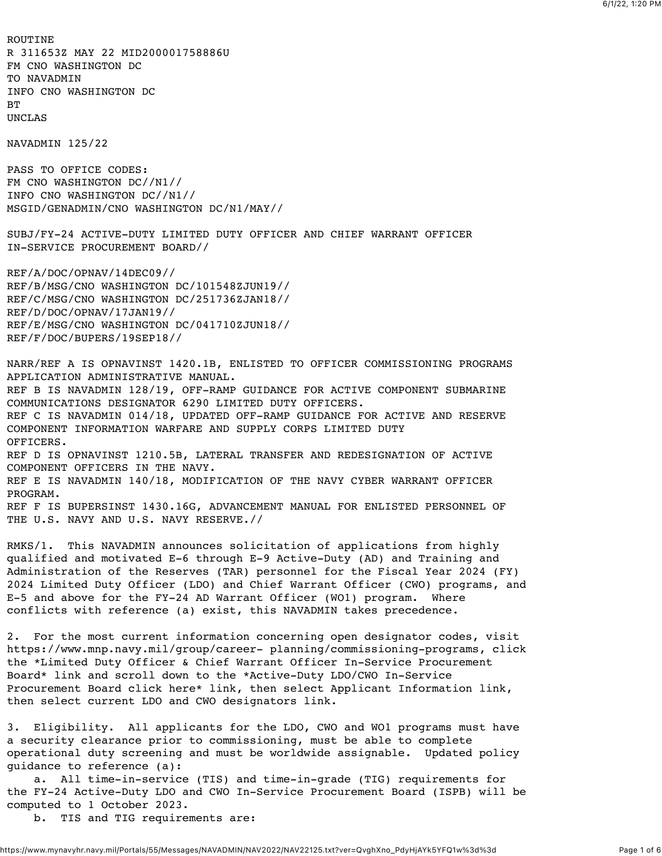ROUTINE R 311653Z MAY 22 MID200001758886U FM CNO WASHINGTON DC TO NAVADMIN INFO CNO WASHINGTON DC **BT** UNCLAS NAVADMIN 125/22 PASS TO OFFICE CODES: FM CNO WASHINGTON DC//N1// INFO CNO WASHINGTON DC//N1// MSGID/GENADMIN/CNO WASHINGTON DC/N1/MAY// SUBJ/FY-24 ACTIVE-DUTY LIMITED DUTY OFFICER AND CHIEF WARRANT OFFICER IN-SERVICE PROCUREMENT BOARD// REF/A/DOC/OPNAV/14DEC09// REF/B/MSG/CNO WASHINGTON DC/101548ZJUN19// REF/C/MSG/CNO WASHINGTON DC/251736ZJAN18// REF/D/DOC/OPNAV/17JAN19// REF/E/MSG/CNO WASHINGTON DC/041710ZJUN18// REF/F/DOC/BUPERS/19SEP18// NARR/REF A IS OPNAVINST 1420.1B, ENLISTED TO OFFICER COMMISSIONING PROGRAMS APPLICATION ADMINISTRATIVE MANUAL. REF B IS NAVADMIN 128/19, OFF-RAMP GUIDANCE FOR ACTIVE COMPONENT SUBMARINE COMMUNICATIONS DESIGNATOR 6290 LIMITED DUTY OFFICERS. REF C IS NAVADMIN 014/18, UPDATED OFF-RAMP GUIDANCE FOR ACTIVE AND RESERVE COMPONENT INFORMATION WARFARE AND SUPPLY CORPS LIMITED DUTY OFFICERS. REF D IS OPNAVINST 1210.5B, LATERAL TRANSFER AND REDESIGNATION OF ACTIVE COMPONENT OFFICERS IN THE NAVY. REF E IS NAVADMIN 140/18, MODIFICATION OF THE NAVY CYBER WARRANT OFFICER PROGRAM. REF F IS BUPERSINST 1430.16G, ADVANCEMENT MANUAL FOR ENLISTED PERSONNEL OF THE U.S. NAVY AND U.S. NAVY RESERVE.// RMKS/1. This NAVADMIN announces solicitation of applications from highly qualified and motivated E-6 through E-9 Active-Duty (AD) and Training and Administration of the Reserves (TAR) personnel for the Fiscal Year 2024 (FY) 2024 Limited Duty Officer (LDO) and Chief Warrant Officer (CWO) programs, and E-5 and above for the FY-24 AD Warrant Officer (WO1) program. Where conflicts with reference (a) exist, this NAVADMIN takes precedence. 2. For the most current information concerning open designator codes, visit https://www.mnp.navy.mil/group/career- planning/commissioning-programs, click the \*Limited Duty Officer & Chief Warrant Officer In-Service Procurement Board\* link and scroll down to the \*Active-Duty LDO/CWO In-Service Procurement Board click here\* link, then select Applicant Information link, then select current LDO and CWO designators link. 3. Eligibility. All applicants for the LDO, CWO and WO1 programs must have a security clearance prior to commissioning, must be able to complete operational duty screening and must be worldwide assignable. Updated policy guidance to reference (a): a. All time-in-service (TIS) and time-in-grade (TIG) requirements for the FY-24 Active-Duty LDO and CWO In-Service Procurement Board (ISPB) will be computed to 1 October 2023. b. TIS and TIG requirements are: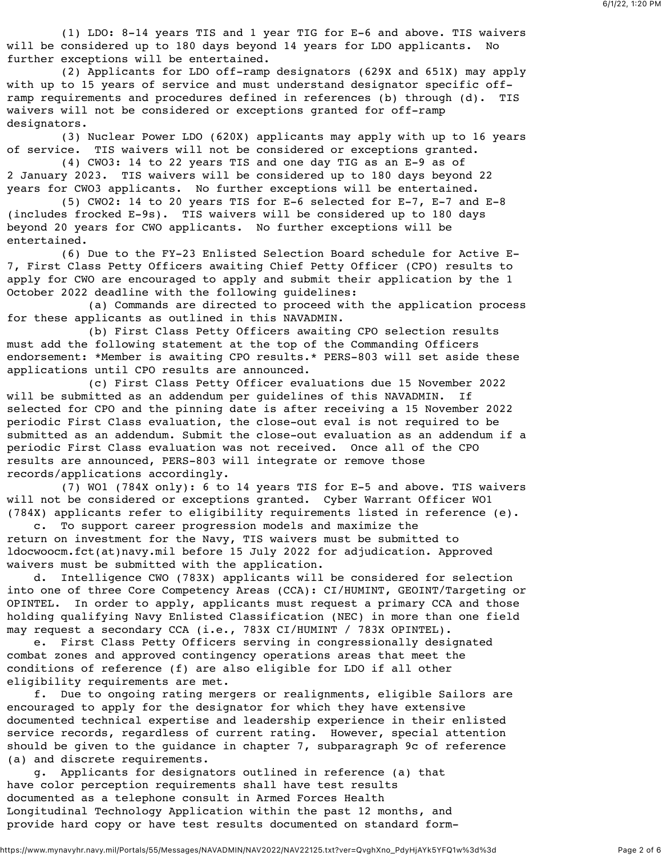(1) LDO: 8-14 years TIS and 1 year TIG for E-6 and above. TIS waivers will be considered up to 180 days beyond 14 years for LDO applicants. No further exceptions will be entertained.

 (2) Applicants for LDO off-ramp designators (629X and 651X) may apply with up to 15 years of service and must understand designator specific offramp requirements and procedures defined in references (b) through (d). TIS waivers will not be considered or exceptions granted for off-ramp designators.

 (3) Nuclear Power LDO (620X) applicants may apply with up to 16 years of service. TIS waivers will not be considered or exceptions granted.

 (4) CWO3: 14 to 22 years TIS and one day TIG as an E-9 as of 2 January 2023. TIS waivers will be considered up to 180 days beyond 22 years for CWO3 applicants. No further exceptions will be entertained.

 (5) CWO2: 14 to 20 years TIS for E-6 selected for E-7, E-7 and E-8 (includes frocked E-9s). TIS waivers will be considered up to 180 days beyond 20 years for CWO applicants. No further exceptions will be entertained.

 (6) Due to the FY-23 Enlisted Selection Board schedule for Active E-7, First Class Petty Officers awaiting Chief Petty Officer (CPO) results to apply for CWO are encouraged to apply and submit their application by the 1 October 2022 deadline with the following guidelines:

 (a) Commands are directed to proceed with the application process for these applicants as outlined in this NAVADMIN.

 (b) First Class Petty Officers awaiting CPO selection results must add the following statement at the top of the Commanding Officers endorsement: \*Member is awaiting CPO results.\* PERS-803 will set aside these applications until CPO results are announced.

 (c) First Class Petty Officer evaluations due 15 November 2022 will be submitted as an addendum per guidelines of this NAVADMIN. selected for CPO and the pinning date is after receiving a 15 November 2022 periodic First Class evaluation, the close-out eval is not required to be submitted as an addendum. Submit the close-out evaluation as an addendum if a periodic First Class evaluation was not received. Once all of the CPO results are announced, PERS-803 will integrate or remove those records/applications accordingly.

 (7) WO1 (784X only): 6 to 14 years TIS for E-5 and above. TIS waivers will not be considered or exceptions granted. Cyber Warrant Officer WO1 (784X) applicants refer to eligibility requirements listed in reference (e).

 c. To support career progression models and maximize the return on investment for the Navy, TIS waivers must be submitted to ldocwoocm.fct(at)navy.mil before 15 July 2022 for adjudication. Approved waivers must be submitted with the application.

 d. Intelligence CWO (783X) applicants will be considered for selection into one of three Core Competency Areas (CCA): CI/HUMINT, GEOINT/Targeting or OPINTEL. In order to apply, applicants must request a primary CCA and those holding qualifying Navy Enlisted Classification (NEC) in more than one field may request a secondary CCA (i.e., 783X CI/HUMINT / 783X OPINTEL).

 e. First Class Petty Officers serving in congressionally designated combat zones and approved contingency operations areas that meet the conditions of reference (f) are also eligible for LDO if all other eligibility requirements are met.

 f. Due to ongoing rating mergers or realignments, eligible Sailors are encouraged to apply for the designator for which they have extensive documented technical expertise and leadership experience in their enlisted service records, regardless of current rating. However, special attention should be given to the guidance in chapter 7, subparagraph 9c of reference (a) and discrete requirements.

 g. Applicants for designators outlined in reference (a) that have color perception requirements shall have test results documented as a telephone consult in Armed Forces Health Longitudinal Technology Application within the past 12 months, and provide hard copy or have test results documented on standard form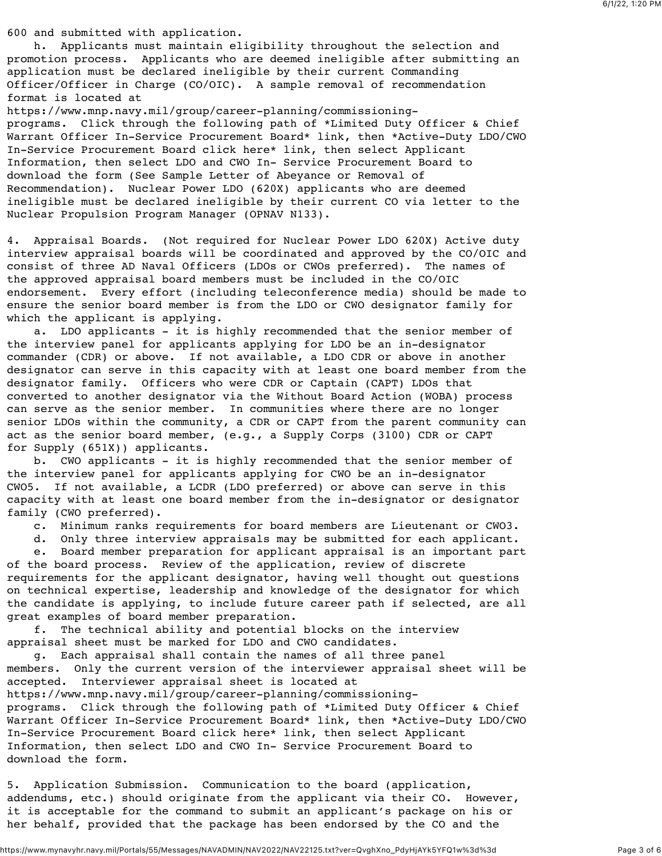600 and submitted with application.

 h. Applicants must maintain eligibility throughout the selection and promotion process. Applicants who are deemed ineligible after submitting an application must be declared ineligible by their current Commanding Officer/Officer in Charge (CO/OIC). A sample removal of recommendation format is located at

https://www.mnp.navy.mil/group/career-planning/commissioningprograms. Click through the following path of \*Limited Duty Officer & Chief Warrant Officer In-Service Procurement Board\* link, then \*Active-Duty LDO/CWO In-Service Procurement Board click here\* link, then select Applicant Information, then select LDO and CWO In- Service Procurement Board to download the form (See Sample Letter of Abeyance or Removal of Recommendation). Nuclear Power LDO (620X) applicants who are deemed ineligible must be declared ineligible by their current CO via letter to the Nuclear Propulsion Program Manager (OPNAV N133).

4. Appraisal Boards. (Not required for Nuclear Power LDO 620X) Active duty interview appraisal boards will be coordinated and approved by the CO/OIC and consist of three AD Naval Officers (LDOs or CWOs preferred). The names of the approved appraisal board members must be included in the CO/OIC endorsement. Every effort (including teleconference media) should be made to ensure the senior board member is from the LDO or CWO designator family for which the applicant is applying.

 a. LDO applicants - it is highly recommended that the senior member of the interview panel for applicants applying for LDO be an in-designator commander (CDR) or above. If not available, a LDO CDR or above in another designator can serve in this capacity with at least one board member from the designator family. Officers who were CDR or Captain (CAPT) LDOs that converted to another designator via the Without Board Action (WOBA) process can serve as the senior member. In communities where there are no longer senior LDOs within the community, a CDR or CAPT from the parent community can act as the senior board member, (e.g., a Supply Corps (3100) CDR or CAPT for Supply (651X)) applicants.

 b. CWO applicants - it is highly recommended that the senior member of the interview panel for applicants applying for CWO be an in-designator CWO5. If not available, a LCDR (LDO preferred) or above can serve in this capacity with at least one board member from the in-designator or designator family (CWO preferred).

c. Minimum ranks requirements for board members are Lieutenant or CWO3.

d. Only three interview appraisals may be submitted for each applicant.

 e. Board member preparation for applicant appraisal is an important part of the board process. Review of the application, review of discrete requirements for the applicant designator, having well thought out questions on technical expertise, leadership and knowledge of the designator for which the candidate is applying, to include future career path if selected, are all great examples of board member preparation.

 f. The technical ability and potential blocks on the interview appraisal sheet must be marked for LDO and CWO candidates.

 g. Each appraisal shall contain the names of all three panel members. Only the current version of the interviewer appraisal sheet will be accepted. Interviewer appraisal sheet is located at https://www.mnp.navy.mil/group/career-planning/commissioningprograms. Click through the following path of \*Limited Duty Officer & Chief Warrant Officer In-Service Procurement Board\* link, then \*Active-Duty LDO/CWO In-Service Procurement Board click here\* link, then select Applicant Information, then select LDO and CWO In- Service Procurement Board to download the form.

5. Application Submission. Communication to the board (application, addendums, etc.) should originate from the applicant via their CO. However, it is acceptable for the command to submit an applicant's package on his or her behalf, provided that the package has been endorsed by the CO and the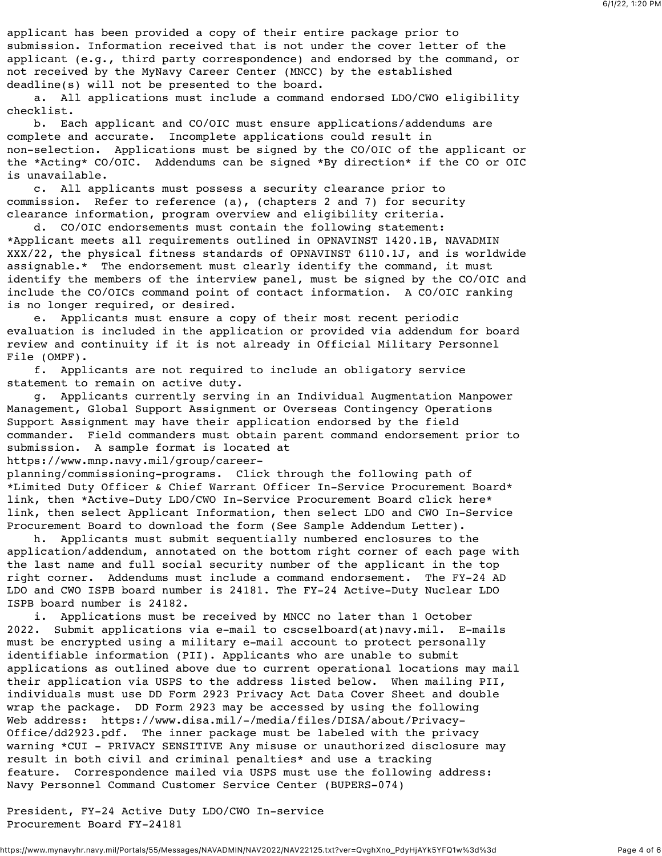applicant has been provided a copy of their entire package prior to submission. Information received that is not under the cover letter of the applicant (e.g., third party correspondence) and endorsed by the command, or not received by the MyNavy Career Center (MNCC) by the established deadline(s) will not be presented to the board.

 a. All applications must include a command endorsed LDO/CWO eligibility checklist.

 b. Each applicant and CO/OIC must ensure applications/addendums are complete and accurate. Incomplete applications could result in non-selection. Applications must be signed by the CO/OIC of the applicant or the \*Acting\* CO/OIC. Addendums can be signed \*By direction\* if the CO or OIC is unavailable.

 c. All applicants must possess a security clearance prior to commission. Refer to reference (a), (chapters 2 and 7) for security clearance information, program overview and eligibility criteria.

CO/OIC endorsements must contain the following statement: \*Applicant meets all requirements outlined in OPNAVINST 1420.1B, NAVADMIN XXX/22, the physical fitness standards of OPNAVINST 6110.1J, and is worldwide assignable.\* The endorsement must clearly identify the command, it must identify the members of the interview panel, must be signed by the CO/OIC and include the CO/OICs command point of contact information. A CO/OIC ranking is no longer required, or desired.

 e. Applicants must ensure a copy of their most recent periodic evaluation is included in the application or provided via addendum for board review and continuity if it is not already in Official Military Personnel File (OMPF).

 f. Applicants are not required to include an obligatory service statement to remain on active duty.

 g. Applicants currently serving in an Individual Augmentation Manpower Management, Global Support Assignment or Overseas Contingency Operations Support Assignment may have their application endorsed by the field commander. Field commanders must obtain parent command endorsement prior to submission. A sample format is located at

## https://www.mnp.navy.mil/group/career-

planning/commissioning-programs. Click through the following path of \*Limited Duty Officer & Chief Warrant Officer In-Service Procurement Board\* link, then \*Active-Duty LDO/CWO In-Service Procurement Board click here\* link, then select Applicant Information, then select LDO and CWO In-Service Procurement Board to download the form (See Sample Addendum Letter).

 h. Applicants must submit sequentially numbered enclosures to the application/addendum, annotated on the bottom right corner of each page with the last name and full social security number of the applicant in the top right corner. Addendums must include a command endorsement. The FY-24 AD LDO and CWO ISPB board number is 24181. The FY-24 Active-Duty Nuclear LDO ISPB board number is 24182.

 i. Applications must be received by MNCC no later than 1 October 2022. Submit applications via e-mail to cscselboard(at)navy.mil. E-mails must be encrypted using a military e-mail account to protect personally identifiable information (PII). Applicants who are unable to submit applications as outlined above due to current operational locations may mail their application via USPS to the address listed below. When mailing PII, individuals must use DD Form 2923 Privacy Act Data Cover Sheet and double wrap the package. DD Form 2923 may be accessed by using the following Web address: https://www.disa.mil/-/media/files/DISA/about/Privacy-Office/dd2923.pdf. The inner package must be labeled with the privacy warning \*CUI - PRIVACY SENSITIVE Any misuse or unauthorized disclosure may result in both civil and criminal penalties\* and use a tracking feature. Correspondence mailed via USPS must use the following address: Navy Personnel Command Customer Service Center (BUPERS-074)

President, FY-24 Active Duty LDO/CWO In-service Procurement Board FY-24181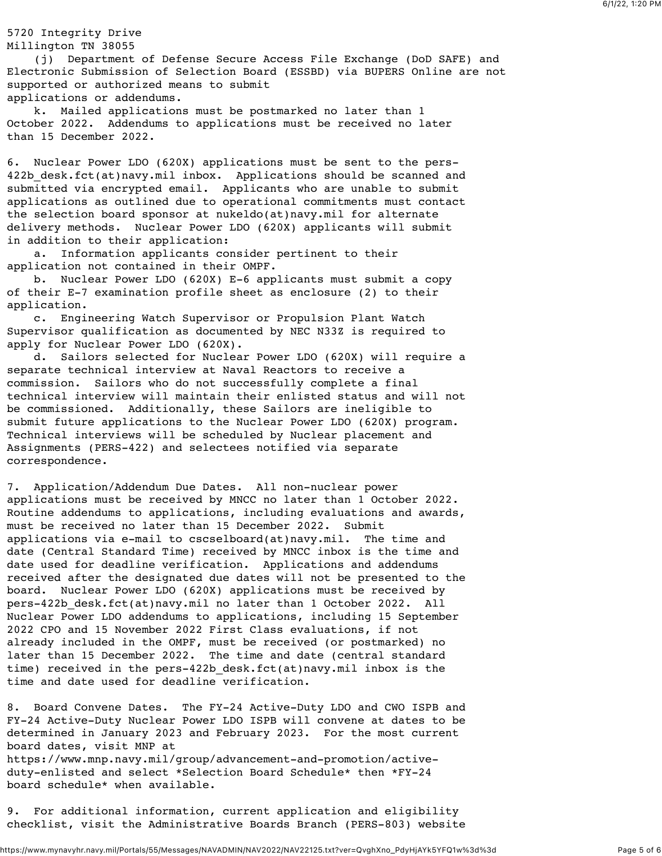## 5720 Integrity Drive Millington TN 38055

 (j) Department of Defense Secure Access File Exchange (DoD SAFE) and Electronic Submission of Selection Board (ESSBD) via BUPERS Online are not supported or authorized means to submit applications or addendums.

 k. Mailed applications must be postmarked no later than 1 October 2022. Addendums to applications must be received no later than 15 December 2022.

6. Nuclear Power LDO (620X) applications must be sent to the pers-422b desk.fct(at)navy.mil inbox. Applications should be scanned and submitted via encrypted email. Applicants who are unable to submit applications as outlined due to operational commitments must contact the selection board sponsor at nukeldo(at)navy.mil for alternate delivery methods. Nuclear Power LDO (620X) applicants will submit in addition to their application:

 a. Information applicants consider pertinent to their application not contained in their OMPF.

 b. Nuclear Power LDO (620X) E-6 applicants must submit a copy of their E-7 examination profile sheet as enclosure (2) to their application.

 c. Engineering Watch Supervisor or Propulsion Plant Watch Supervisor qualification as documented by NEC N33Z is required to apply for Nuclear Power LDO (620X).

 d. Sailors selected for Nuclear Power LDO (620X) will require a separate technical interview at Naval Reactors to receive a commission. Sailors who do not successfully complete a final technical interview will maintain their enlisted status and will not be commissioned. Additionally, these Sailors are ineligible to submit future applications to the Nuclear Power LDO (620X) program. Technical interviews will be scheduled by Nuclear placement and Assignments (PERS-422) and selectees notified via separate correspondence.

7. Application/Addendum Due Dates. All non-nuclear power applications must be received by MNCC no later than 1 October 2022. Routine addendums to applications, including evaluations and awards, must be received no later than 15 December 2022. Submit applications via e-mail to cscselboard(at)navy.mil. The time and date (Central Standard Time) received by MNCC inbox is the time and date used for deadline verification. Applications and addendums received after the designated due dates will not be presented to the board. Nuclear Power LDO (620X) applications must be received by pers-422b\_desk.fct(at)navy.mil no later than 1 October 2022. All Nuclear Power LDO addendums to applications, including 15 September 2022 CPO and 15 November 2022 First Class evaluations, if not already included in the OMPF, must be received (or postmarked) no later than 15 December 2022. The time and date (central standard time) received in the pers-422b\_desk.fct(at)navy.mil inbox is the time and date used for deadline verification.

8. Board Convene Dates. The FY-24 Active-Duty LDO and CWO ISPB and FY-24 Active-Duty Nuclear Power LDO ISPB will convene at dates to be determined in January 2023 and February 2023. For the most current board dates, visit MNP at https://www.mnp.navy.mil/group/advancement-and-promotion/activeduty-enlisted and select \*Selection Board Schedule\* then \*FY-24 board schedule\* when available.

9. For additional information, current application and eligibility checklist, visit the Administrative Boards Branch (PERS-803) website